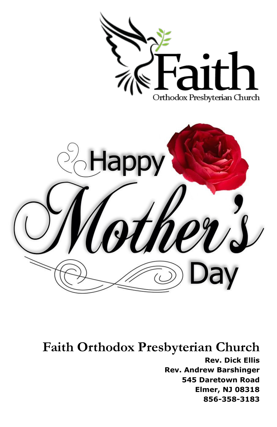

**Faith Orthodox Presbyterian Church Rev. Dick Ellis Rev. Andrew Barshinger 545 Daretown Road Elmer, NJ 08318 856-358-3183**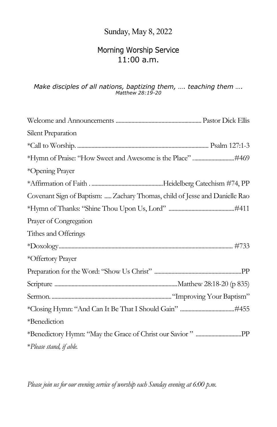#### Sunday, May 8, 2022

#### Morning Worship Service 11:00 a.m.

# *Make disciples of all nations, baptizing them, …. teaching them …. Matthew 28:19-20*

| Silent Preparation                                                         |
|----------------------------------------------------------------------------|
|                                                                            |
|                                                                            |
| *Opening Prayer                                                            |
|                                                                            |
| Covenant Sign of Baptism:  Zachary Thomas, child of Jesse and Danielle Rao |
|                                                                            |
| Prayer of Congregation                                                     |
| Tithes and Offerings                                                       |
|                                                                            |
| *Offertory Prayer                                                          |
|                                                                            |
|                                                                            |
|                                                                            |
|                                                                            |
| *Benediction                                                               |
|                                                                            |
| *Please stand, if able.                                                    |

*Please join us for our evening service of worship each Sunday evening at 6:00 p.m.*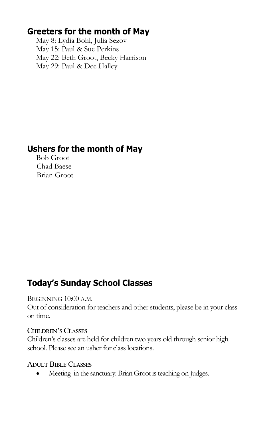#### **Greeters for the month of May**

May 8: Lydia Bohl, Julia Sezov May 15: Paul & Sue Perkins May 22: Beth Groot, Becky Harrison May 29: Paul & Dee Halley

### **Ushers for the month of May**

Bob Groot Chad Baese Brian Groot

## **Today's Sunday School Classes**

#### BEGINNING 10:00 A.M.

Out of consideration for teachers and other students, please be in your class on time.

#### Children's Classes

Children's classes are held for children two years old through senior high school. Please see an usher for class locations.

#### Adult Bible Classes

Meeting in the sanctuary. Brian Groot is teaching on Judges.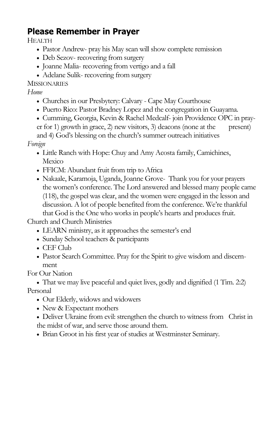## **Please Remember in Prayer**

HEALTH

- Pastor Andrew- pray his May scan will show complete remission
- Deb Sezov- recovering from surgery
- Joanne Malia- recovering from vertigo and a fall
- Adelane Sulik- recovering from surgery

MISSIONARIES

*Home*

- Churches in our Presbytery: Calvary Cape May Courthouse
- Puerto Rico: Pastor Bradney Lopez and the congregation in Guayama.
- Cumming, Georgia, Kevin & Rachel Medcalf- join Providence OPC in prayer for 1) growth in grace, 2) new visitors, 3) deacons (none at the present) and 4) God's blessing on the church's summer outreach initiatives

*Foreign*

- Little Ranch with Hope: Chuy and Amy Acosta family, Camichines, Mexico
- FFICM: Abundant fruit from trip to Africa
- Nakaale, Karamoja, Uganda, Joanne Grove- Thank you for your prayers the women's conference. The Lord answered and blessed many people came (118), the gospel was clear, and the women were engaged in the lesson and discussion. A lot of people benefited from the conference. We're thankful that God is the One who works in people's hearts and produces fruit.

Church and Church Ministries

- LEARN ministry, as it approaches the semester's end
- Sunday School teachers & participants
- CEF Club
- Pastor Search Committee. Pray for the Spirit to give wisdom and discernment

For Our Nation

 That we may live peaceful and quiet lives, godly and dignified (1 Tim. 2:2) Personal

- Our Elderly, widows and widowers
- New & Expectant mothers
- Deliver Ukraine from evil: strengthen the church to witness from Christ in the midst of war, and serve those around them.
- Brian Groot in his first year of studies at Westminster Seminary.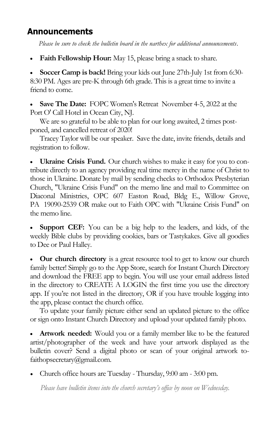#### Announcements

*Please be sure to check the bulletin board in the narthex for additional announcements*.

**Faith Fellowship Hour:** May 15, please bring a snack to share.

 **Soccer Camp is back!** Bring your kids out June 27th-July 1st from 6:30- 8:30 PM. Ages are pre-K through 6th grade. This is a great time to invite a friend to come.

 **Save The Date:** FOPC Women's Retreat November 4-5, 2022 at the Port O' Call Hotel in Ocean City, NJ.

We are so grateful to be able to plan for our long awaited, 2 times postponed, and cancelled retreat of 2020!

Tracey Taylor will be our speaker. Save the date, invite friends, details and registration to follow.

 **Ukraine Crisis Fund.** Our church wishes to make it easy for you to contribute directly to an agency providing real time mercy in the name of Christ to those in Ukraine. Donate by mail by sending checks to Orthodox Presbyterian Church, "Ukraine Crisis Fund" on the memo line and mail to Committee on Diaconal Ministries, OPC 607 Easton Road, Bldg E., Willow Grove, PA 19090-2539 OR make out to Faith OPC with "Ukraine Crisis Fund" on the memo line.

 **Support CEF:** You can be a big help to the leaders, and kids, of the weekly Bible clubs by providing cookies, bars or Tastykakes. Give all goodies to Dee or Paul Halley.

 **Our church directory** is a great resource tool to get to know our church family better! Simply go to the App Store, search for Instant Church Directory and download the FREE app to begin. You will use your email address listed in the directory to CREATE A LOGIN the first time you use the directory app. If you're not listed in the directory, OR if you have trouble logging into the app, please contact the church office.

To update your family picture either send an updated picture to the office or sign onto Instant Church Directory and upload your updated family photo.

 **Artwork needed:** Would you or a family member like to be the featured artist/photographer of the week and have your artwork displayed as the bulletin cover? Send a digital photo or scan of your original artwork tofaithopsecretary@gmail.com.

Church office hours are Tuesday - Thursday, 9:00 am - 3:00 pm.

*Please have bulletin items into the church secretary's office by noon on Wednesday.*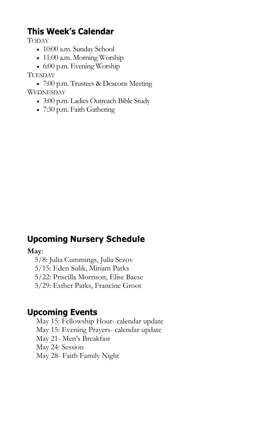## **This Week's Calendar**

TODAY

- 10:00 a.m. Sunday School
- 11:00 a.m. Morning Worship
- 6:00 p.m. Evening Worship

#### TUESDAY

 7:00 p.m. Trustees & Deacons Meeting **WEDNESDAY** 

- 3:00 p.m. Ladies Outreach Bible Study
- 7:30 p.m. Faith Gathering

### **Upcoming Nursery Schedule**

#### **May**:

5/8: Julia Cummings, Julia Sezov

5/15: Eden Sulik, Miriam Parks

5/22: Priscilla Morrison, Elise Baese

5/29: Esther Parks, Francine Groot

#### **Upcoming Events**

May 15: Fellowship Hour- calendar update May 15: Evening Prayers- calendar update May 21- Men's Breakfast May 24: Session

May 28- Faith Family Night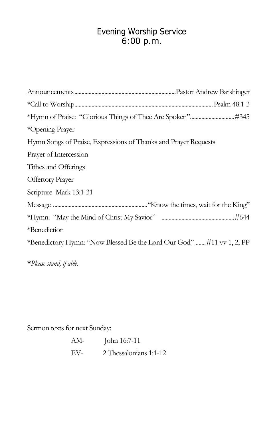# Evening Worship Service<br>6:00 p.m.

| *Opening Prayer                                                      |  |
|----------------------------------------------------------------------|--|
| Hymn Songs of Praise, Expressions of Thanks and Prayer Requests      |  |
| Prayer of Intercession                                               |  |
| Tithes and Offerings                                                 |  |
| <b>Offertory Prayer</b>                                              |  |
| Scripture Mark 13:1-31                                               |  |
|                                                                      |  |
|                                                                      |  |
| *Benediction                                                         |  |
| *Benedictory Hymn: "Now Blessed Be the Lord Our God" #11 vv 1, 2, PP |  |
|                                                                      |  |

**\****Please stand, if able.*

Sermon texts for next Sunday:

| AM- | John 16:7-11           |
|-----|------------------------|
| EV- | 2 Thessalonians 1:1-12 |